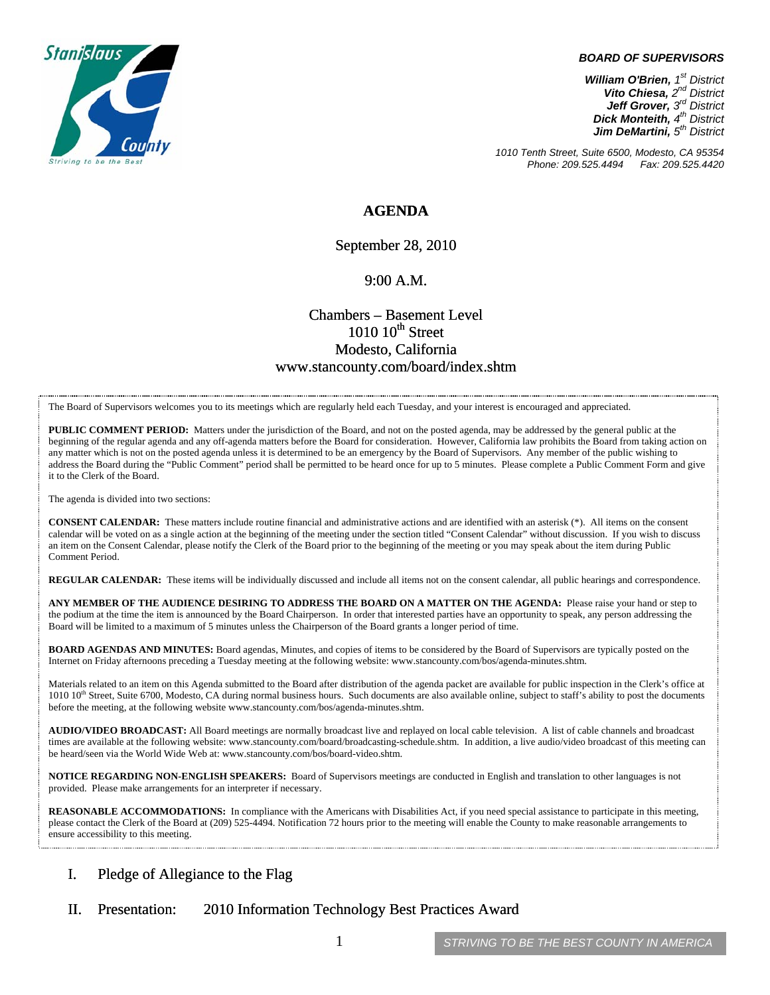

#### *BOARD OF SUPERVISORS*

*William O'Brien, 1st District Vito Chiesa, 2nd District Jeff Grover, 3rd District Dick Monteith, 4th District Jim DeMartini, 5th District*

*1010 Tenth Street, Suite 6500, Modesto, CA 95354 Phone: 209.525.4494 Fax: 209.525.4420* 

### **AGENDA**

September 28, 2010

#### 9:00 A.M.

## Chambers – Basement Level  $1010~10$ <sup>th</sup> Street Modesto, California www.stancounty.com/board/index.shtm

The Board of Supervisors welcomes you to its meetings which are regularly held each Tuesday, and your interest is encouraged and appreciated.

**PUBLIC COMMENT PERIOD:** Matters under the jurisdiction of the Board, and not on the posted agenda, may be addressed by the general public at the beginning of the regular agenda and any off-agenda matters before the Board for consideration. However, California law prohibits the Board from taking action on any matter which is not on the posted agenda unless it is determined to be an emergency by the Board of Supervisors. Any member of the public wishing to address the Board during the "Public Comment" period shall be permitted to be heard once for up to 5 minutes. Please complete a Public Comment Form and give it to the Clerk of the Board.

The agenda is divided into two sections:

**CONSENT CALENDAR:** These matters include routine financial and administrative actions and are identified with an asterisk (\*). All items on the consent calendar will be voted on as a single action at the beginning of the meeting under the section titled "Consent Calendar" without discussion. If you wish to discuss an item on the Consent Calendar, please notify the Clerk of the Board prior to the beginning of the meeting or you may speak about the item during Public Comment Period.

**REGULAR CALENDAR:** These items will be individually discussed and include all items not on the consent calendar, all public hearings and correspondence.

**ANY MEMBER OF THE AUDIENCE DESIRING TO ADDRESS THE BOARD ON A MATTER ON THE AGENDA:** Please raise your hand or step to the podium at the time the item is announced by the Board Chairperson. In order that interested parties have an opportunity to speak, any person addressing the Board will be limited to a maximum of 5 minutes unless the Chairperson of the Board grants a longer period of time.

**BOARD AGENDAS AND MINUTES:** Board agendas, Minutes, and copies of items to be considered by the Board of Supervisors are typically posted on the Internet on Friday afternoons preceding a Tuesday meeting at the following website: www.stancounty.com/bos/agenda-minutes.shtm.

Materials related to an item on this Agenda submitted to the Board after distribution of the agenda packet are available for public inspection in the Clerk's office at 1010 10<sup>th</sup> Street, Suite 6700, Modesto, CA during normal business hours. Such documents are also available online, subject to staff's ability to post the documents before the meeting, at the following website www.stancounty.com/bos/agenda-minutes.shtm.

**AUDIO/VIDEO BROADCAST:** All Board meetings are normally broadcast live and replayed on local cable television. A list of cable channels and broadcast times are available at the following website: www.stancounty.com/board/broadcasting-schedule.shtm. In addition, a live audio/video broadcast of this meeting can be heard/seen via the World Wide Web at: www.stancounty.com/bos/board-video.shtm.

**NOTICE REGARDING NON-ENGLISH SPEAKERS:** Board of Supervisors meetings are conducted in English and translation to other languages is not provided. Please make arrangements for an interpreter if necessary.

**REASONABLE ACCOMMODATIONS:** In compliance with the Americans with Disabilities Act, if you need special assistance to participate in this meeting, please contact the Clerk of the Board at (209) 525-4494. Notification 72 hours prior to the meeting will enable the County to make reasonable arrangements to ensure accessibility to this meeting.

### I. Pledge of Allegiance to the Flag

II. Presentation: 2010 Information Technology Best Practices Award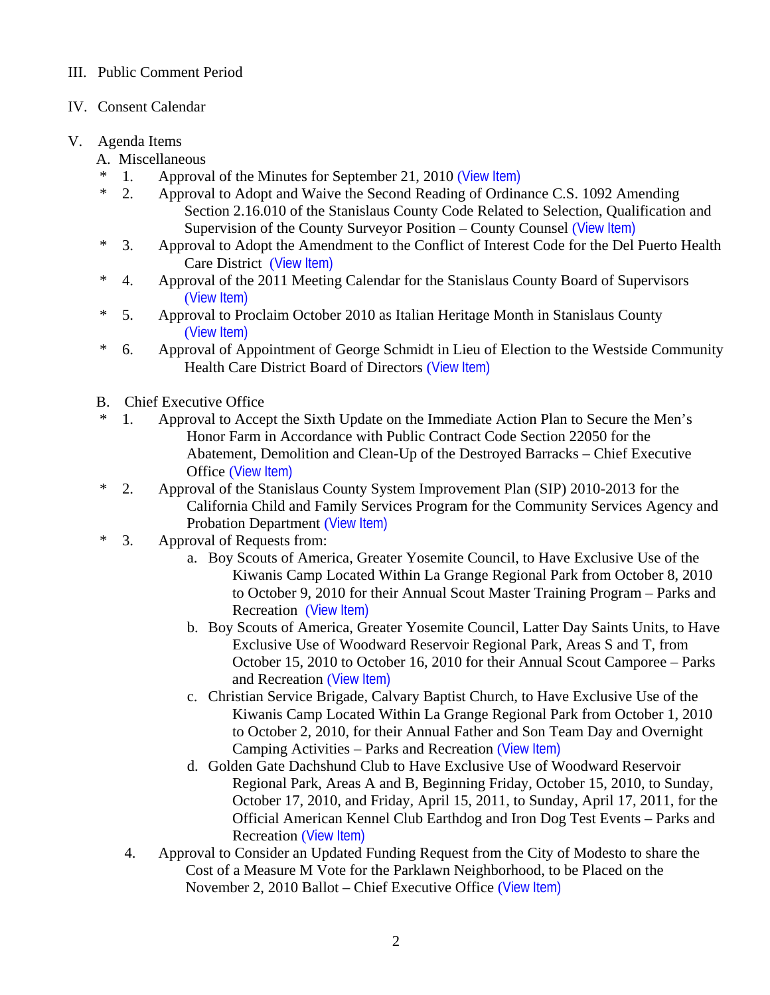# III. Public Comment Period

IV. Consent Calendar

# V. Agenda Items

- A. Miscellaneous
- \* 1. Approval of the Minutes for September 21, 2010 ([View Item\)](http://www.stancounty.com/bos/minutes/2010/min09-21-10.pdf)
- \* 2. Approval to Adopt and Waive the Second Reading of Ordinance C.S. 1092 Amending Section 2.16.010 of the Stanislaus County Code Related to Selection, Qualification and Supervision of the County Surveyor Position – County Counsel ([View Item\)](http://www.stancounty.com/bos/agenda/2010/20100928/A02.pdf)
- \* 3. Approval to Adopt the Amendment to the Conflict of Interest Code for the Del Puerto Health Care District ([View Item\)](http://www.stancounty.com/bos/agenda/2010/20100928/A03.pdf)
- \* 4. Approval of the 2011 Meeting Calendar for the Stanislaus County Board of Supervisors ([View Item\)](http://www.stancounty.com/bos/agenda/2010/20100928/A04.pdf)
- \* 5. Approval to Proclaim October 2010 as Italian Heritage Month in Stanislaus County ([View Item\)](http://www.stancounty.com/bos/agenda/2010/20100928/A05.pdf)
- \* 6. Approval of Appointment of George Schmidt in Lieu of Election to the Westside Community Health Care District Board of Directors ([View Item\)](http://www.stancounty.com/bos/agenda/2010/20100928/A06.pdf)
- B. Chief Executive Office
- \* 1. Approval to Accept the Sixth Update on the Immediate Action Plan to Secure the Men's Honor Farm in Accordance with Public Contract Code Section 22050 for the Abatement, Demolition and Clean-Up of the Destroyed Barracks – Chief Executive Office ([View Item\)](http://www.stancounty.com/bos/agenda/2010/20100928/B01.pdf)
- \* 2. Approval of the Stanislaus County System Improvement Plan (SIP) 2010-2013 for the California Child and Family Services Program for the Community Services Agency and Probation Department ([View Item\)](http://www.stancounty.com/bos/agenda/2010/20100928/B02.pdf)
- \* 3. Approval of Requests from:
	- a. Boy Scouts of America, Greater Yosemite Council, to Have Exclusive Use of the Kiwanis Camp Located Within La Grange Regional Park from October 8, 2010 to October 9, 2010 for their Annual Scout Master Training Program – Parks and Recreation ([View Item\)](http://www.stancounty.com/bos/agenda/2010/20100928/B03a.pdf)
	- b. Boy Scouts of America, Greater Yosemite Council, Latter Day Saints Units, to Have Exclusive Use of Woodward Reservoir Regional Park, Areas S and T, from October 15, 2010 to October 16, 2010 for their Annual Scout Camporee – Parks and Recreation ([View Item\)](http://www.stancounty.com/bos/agenda/2010/20100928/B03b.pdf)
	- c. Christian Service Brigade, Calvary Baptist Church, to Have Exclusive Use of the Kiwanis Camp Located Within La Grange Regional Park from October 1, 2010 to October 2, 2010, for their Annual Father and Son Team Day and Overnight Camping Activities – Parks and Recreation ([View Item\)](http://www.stancounty.com/bos/agenda/2010/20100928/B03c.pdf)
	- d. Golden Gate Dachshund Club to Have Exclusive Use of Woodward Reservoir Regional Park, Areas A and B, Beginning Friday, October 15, 2010, to Sunday, October 17, 2010, and Friday, April 15, 2011, to Sunday, April 17, 2011, for the Official American Kennel Club Earthdog and Iron Dog Test Events – Parks and Recreation ([View Item\)](http://www.stancounty.com/bos/agenda/2010/20100928/B03d.pdf)
	- 4. Approval to Consider an Updated Funding Request from the City of Modesto to share the Cost of a Measure M Vote for the Parklawn Neighborhood, to be Placed on the November 2, 2010 Ballot – Chief Executive Office ([View Item\)](http://www.stancounty.com/bos/agenda/2010/20100928/B04.pdf)